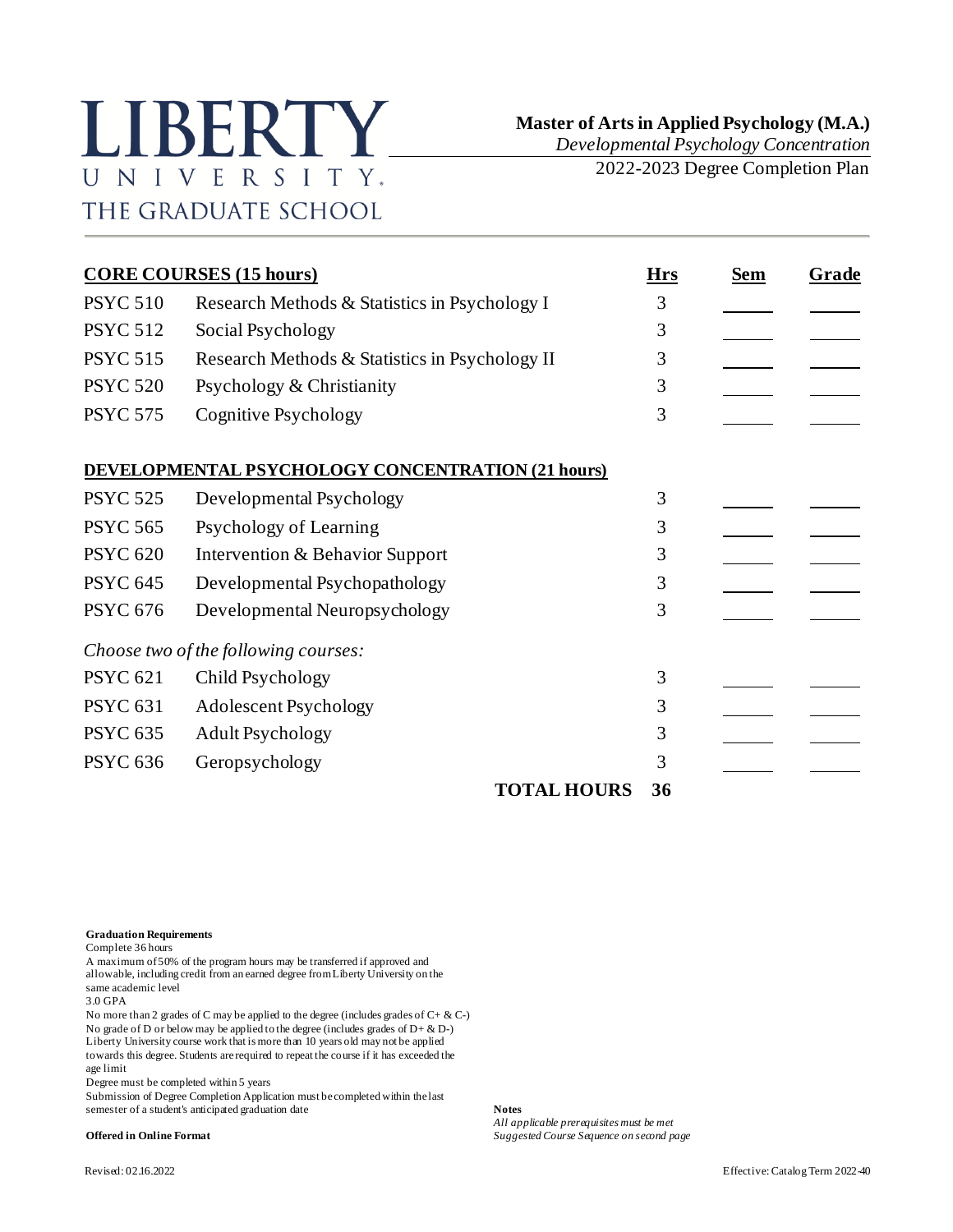## LIBERTY. UNIVERSITY. THE GRADUATE SCHOOL

*Developmental Psychology Concentration*

2022-2023 Degree Completion Plan

|                 | <b>CORE COURSES (15 hours)</b>                    | <b>Hrs</b> | <b>Sem</b> | Grade |
|-----------------|---------------------------------------------------|------------|------------|-------|
| <b>PSYC 510</b> | Research Methods & Statistics in Psychology I     | 3          |            |       |
| <b>PSYC 512</b> | Social Psychology                                 | 3          |            |       |
| <b>PSYC 515</b> | Research Methods & Statistics in Psychology II    | 3          |            |       |
| <b>PSYC 520</b> | Psychology & Christianity                         | 3          |            |       |
| <b>PSYC 575</b> | Cognitive Psychology                              | 3          |            |       |
|                 | DEVELOPMENTAL PSYCHOLOGY CONCENTRATION (21 hours) |            |            |       |
| <b>PSYC 525</b> | Developmental Psychology                          | 3          |            |       |
| <b>PSYC 565</b> | Psychology of Learning                            | 3          |            |       |
| <b>PSYC 620</b> | Intervention & Behavior Support                   | 3          |            |       |
| <b>PSYC 645</b> | Developmental Psychopathology                     | 3          |            |       |
| <b>PSYC 676</b> | Developmental Neuropsychology                     | 3          |            |       |
|                 | Choose two of the following courses:              |            |            |       |
| <b>PSYC 621</b> | Child Psychology                                  | 3          |            |       |
| <b>PSYC 631</b> | Adolescent Psychology                             | 3          |            |       |
| <b>PSYC 635</b> | <b>Adult Psychology</b>                           | 3          |            |       |
| <b>PSYC 636</b> | Geropsychology                                    | 3          |            |       |
|                 | <b>TOTAL HOURS</b>                                | 36         |            |       |

**Graduation Requirements**

Complete 36 hours

A maximum of 50% of the program hours may be transferred if approved and allowable, including credit from an earned degree from Liberty University on the same academic level

3.0 GPA

No more than 2 grades of C may be applied to the degree (includes grades of  $C + \& C$ -) No grade of D or below may be applied to the degree (includes grades of  $D + \& D$ -) Liberty University course work that is more than 10 years old may not be applied towards this degree. Students are required to repeat the course if it has exceeded the age limit

Degree must be completed within 5 years

Submission of Degree Completion Application must be completed within the last semester of a student's anticipated graduation date **Notes**

*All applicable prerequisites must be met*

**Offered in Online Format** *Suggested Course Sequence on second page*